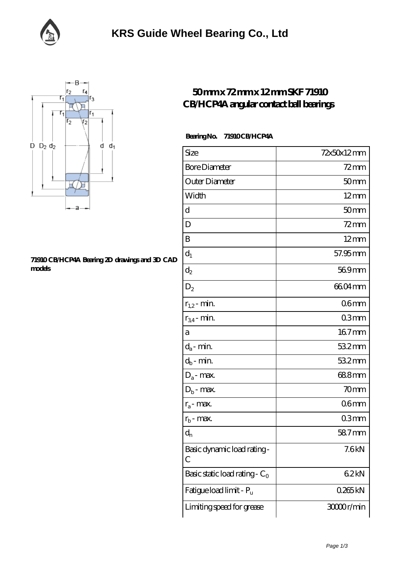



## **[71910 CB/HCP4A Bearing 2D drawings and 3D CAD](https://facebook-desktop.com/pic-104631.html) [models](https://facebook-desktop.com/pic-104631.html)**

## **[50 mm x 72 mm x 12 mm SKF 71910](https://facebook-desktop.com/az-104631-skf-71910-cb-hcp4a-angular-contact-ball-bearings.html) [CB/HCP4A angular contact ball bearings](https://facebook-desktop.com/az-104631-skf-71910-cb-hcp4a-angular-contact-ball-bearings.html)**

## **Bearing No. 71910 CB/HCP4A**

| Size                             | 72x50x12mm       |
|----------------------------------|------------------|
| <b>Bore Diameter</b>             | $72$ mm          |
| Outer Diameter                   | 50 <sub>mm</sub> |
| Width                            | $12 \text{mm}$   |
| d                                | 50 <sub>mm</sub> |
| D                                | $72$ mm          |
| B                                | $12 \text{mm}$   |
| $d_1$                            | 57.95 mm         |
| $d_2$                            | 569mm            |
| $D_2$                            | 6604mm           |
| $r_{1,2}$ - min.                 | 06mm             |
| $r_{34}$ - min.                  | 03 <sub>mm</sub> |
| а                                | $167$ mm         |
| $d_a$ - min.                     | 532mm            |
| $d_b$ - min.                     | 532mm            |
| $D_a$ - max.                     | 688mm            |
| $D_b$ - max.                     | 70mm             |
| $r_a$ - max.                     | 06 <sub>mm</sub> |
| $r_{b}$ - max.                   | 03mm             |
| $d_{n}$                          | 58.7mm           |
| Basic dynamic load rating-<br>С  | 7.6kN            |
| Basic static load rating - $C_0$ | 62kN             |
| Fatigue load limit - Pu          | 0265kN           |
| Limiting speed for grease        | 30000r/min       |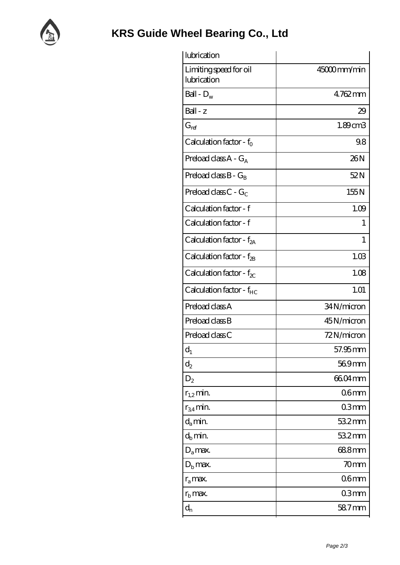

| lubrication                           |                  |
|---------------------------------------|------------------|
| Limiting speed for oil<br>lubrication | 45000mm/min      |
| Ball - $D_w$                          | 4762mm           |
| $Ball - z$                            | 29               |
| $G_{ref}$                             | 1.89cm3          |
| Calculation factor - $f_0$            | 98               |
| Preload class $A - G_A$               | 26N              |
| Preload class $B - G_R$               | 52N              |
| Preload class C - $G_C$               | 155N             |
| Calculation factor - f                | 1.09             |
| Calculation factor - f                | I                |
| Calculation factor - $f_{2A}$         | 1                |
| Calculation factor - $f_{\rm 2B}$     | 1.03             |
| Calculation factor - $f_{\chi}$       | 1.08             |
| Calculation factor - f <sub>HC</sub>  | 1.01             |
| Preload class A                       | 34N/micron       |
| Preload class B                       | 45N/micron       |
| Preload class C                       | 72N/micron       |
| $d_1$                                 | 57.95 mm         |
| $\mathrm{d}_2$                        | 569mm            |
| $D_2$                                 | 6604mm           |
| $r_{1,2}$ min.                        | 06 <sub>mm</sub> |
| $r_{34}$ min.                         | 03 <sub>mm</sub> |
| $d_a$ min.                            | 532mm            |
| $d_h$ min.                            | 532mm            |
| $D_a$ max.                            | 688mm            |
| $D_{\rm b}$ max.                      | 70mm             |
| $r_a$ max.                            | 06 <sub>mm</sub> |
| $r_{\rm b}$ max.                      | 03mm             |
| $\mathbf{d}_{\rm n}$                  | 587mm            |
|                                       |                  |